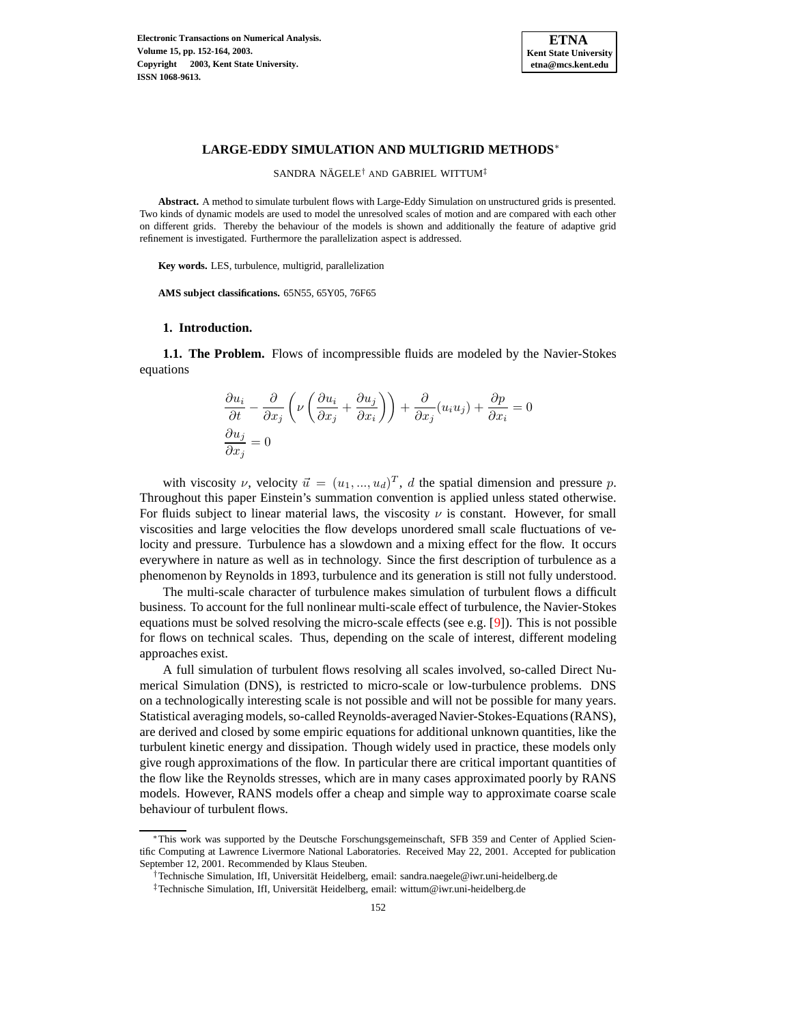

## **LARGE-EDDY SIMULATION AND MULTIGRID METHODS**<sup>∗</sup>

SANDRA NÄGELE<sup>†</sup> AND GABRIEL WITTUM<sup>‡</sup>

**Abstract.** A method to simulate turbulent flows with Large-Eddy Simulation on unstructured grids is presented. Two kinds of dynamic models are used to model the unresolved scales of motion and are compared with each other on different grids. Thereby the behaviour of the models is shown and additionally the feature of adaptive grid refinement is investigated. Furthermore the parallelization aspect is addressed.

**Key words.** LES, turbulence, multigrid, parallelization

**AMS subject classifications.** 65N55, 65Y05, 76F65

#### **1. Introduction.**

**1.1. The Problem.** Flows of incompressible fluids are modeled by the Navier-Stokes equations

$$
\frac{\partial u_i}{\partial t} - \frac{\partial}{\partial x_j} \left( \nu \left( \frac{\partial u_i}{\partial x_j} + \frac{\partial u_j}{\partial x_i} \right) \right) + \frac{\partial}{\partial x_j} (u_i u_j) + \frac{\partial p}{\partial x_i} = 0
$$
  

$$
\frac{\partial u_j}{\partial x_j} = 0
$$

with viscosity  $\nu$ , velocity  $\vec{u} = (u_1, ..., u_d)^T$ , d the spatial dimension and pressure p. Throughout this paper Einstein's summation convention is applied unless stated otherwise. For fluids subject to linear material laws, the viscosity  $\nu$  is constant. However, for small viscosities and large velocities the flow develops unordered small scale fluctuations of velocity and pressure. Turbulence has a slowdown and a mixing effect for the flow. It occurs everywhere in nature as well as in technology. Since the first description of turbulence as a phenomenon by Reynolds in 1893, turbulence and its generation is still not fully understood.

The multi-scale character of turbulence makes simulation of turbulent flows a difficult business. To account for the full nonlinear multi-scale effect of turbulence, the Navier-Stokes equations must be solved resolving the micro-scale effects (see e.g. [\[9\]](#page-11-0)). This is not possible for flows on technical scales. Thus, depending on the scale of interest, different modeling approaches exist.

A full simulation of turbulent flows resolving all scales involved, so-called Direct Numerical Simulation (DNS), is restricted to micro-scale or low-turbulence problems. DNS on a technologically interesting scale is not possible and will not be possible for many years. Statistical averaging models, so-called Reynolds-averaged Navier-Stokes-Equations(RANS), are derived and closed by some empiric equations for additional unknown quantities, like the turbulent kinetic energy and dissipation. Though widely used in practice, these models only give rough approximations of the flow. In particular there are critical important quantities of the flow like the Reynolds stresses, which are in many cases approximated poorly by RANS models. However, RANS models offer a cheap and simple way to approximate coarse scale behaviour of turbulent flows.

<sup>∗</sup>This work was supported by the Deutsche Forschungsgemeinschaft, SFB 359 and Center of Applied Scientific Computing at Lawrence Livermore National Laboratories. Received May 22, 2001. Accepted for publication September 12, 2001. Recommended by Klaus Steuben.

<sup>†</sup>Technische Simulation, IfI, Universität Heidelberg, email: sandra.naegele@iwr.uni-heidelberg.de

<sup>‡</sup>Technische Simulation, IfI, Universität Heidelberg, email: wittum@iwr.uni-heidelberg.de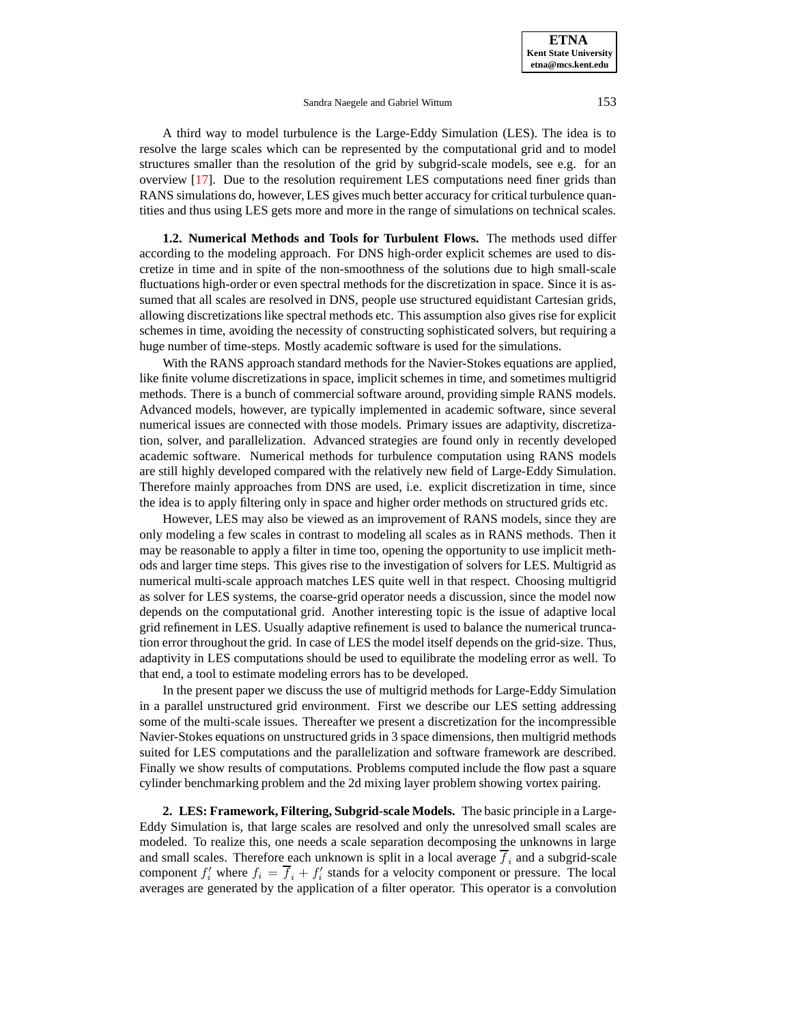**ETNA Kent State University etna@mcs.kent.edu**

#### Sandra Naegele and Gabriel Wittum 153

A third way to model turbulence is the Large-Eddy Simulation (LES). The idea is to resolve the large scales which can be represented by the computational grid and to model structures smaller than the resolution of the grid by subgrid-scale models, see e.g. for an overview [\[17\]](#page-12-0). Due to the resolution requirement LES computations need finer grids than RANS simulations do, however, LES gives much better accuracy for critical turbulence quantities and thus using LES gets more and more in the range of simulations on technical scales.

**1.2. Numerical Methods and Tools for Turbulent Flows.** The methods used differ according to the modeling approach. For DNS high-order explicit schemes are used to discretize in time and in spite of the non-smoothness of the solutions due to high small-scale fluctuations high-order or even spectral methods for the discretization in space. Since it is assumed that all scales are resolved in DNS, people use structured equidistant Cartesian grids, allowing discretizations like spectral methods etc. This assumption also gives rise for explicit schemes in time, avoiding the necessity of constructing sophisticated solvers, but requiring a huge number of time-steps. Mostly academic software is used for the simulations.

With the RANS approach standard methods for the Navier-Stokes equations are applied, like finite volume discretizations in space, implicit schemes in time, and sometimes multigrid methods. There is a bunch of commercial software around, providing simple RANS models. Advanced models, however, are typically implemented in academic software, since several numerical issues are connected with those models. Primary issues are adaptivity, discretization, solver, and parallelization. Advanced strategies are found only in recently developed academic software. Numerical methods for turbulence computation using RANS models are still highly developed compared with the relatively new field of Large-Eddy Simulation. Therefore mainly approaches from DNS are used, i.e. explicit discretization in time, since the idea is to apply filtering only in space and higher order methods on structured grids etc.

However, LES may also be viewed as an improvement of RANS models, since they are only modeling a few scales in contrast to modeling all scales as in RANS methods. Then it may be reasonable to apply a filter in time too, opening the opportunity to use implicit methods and larger time steps. This gives rise to the investigation of solvers for LES. Multigrid as numerical multi-scale approach matches LES quite well in that respect. Choosing multigrid as solver for LES systems, the coarse-grid operator needs a discussion, since the model now depends on the computational grid. Another interesting topic is the issue of adaptive local grid refinement in LES. Usually adaptive refinement is used to balance the numerical truncation error throughout the grid. In case of LES the model itself depends on the grid-size. Thus, adaptivity in LES computations should be used to equilibrate the modeling error as well. To that end, a tool to estimate modeling errors has to be developed.

In the present paper we discuss the use of multigrid methods for Large-Eddy Simulation in a parallel unstructured grid environment. First we describe our LES setting addressing some of the multi-scale issues. Thereafter we present a discretization for the incompressible Navier-Stokes equations on unstructured grids in 3 space dimensions, then multigrid methods suited for LES computations and the parallelization and software framework are described. Finally we show results of computations. Problems computed include the flow past a square cylinder benchmarking problem and the 2d mixing layer problem showing vortex pairing.

**2. LES: Framework, Filtering, Subgrid-scale Models.** The basic principle in a Large-Eddy Simulation is, that large scales are resolved and only the unresolved small scales are modeled. To realize this, one needs a scale separation decomposing the unknowns in large and small scales. Therefore each unknown is split in a local average  $f_i$  and a subgrid-scale component  $f_i'$  where  $f_i = \overline{f}_i + f_i'$  stands for a velocity component or pressure. The local averages are generated by the application of a filter operator. This operator is a convolution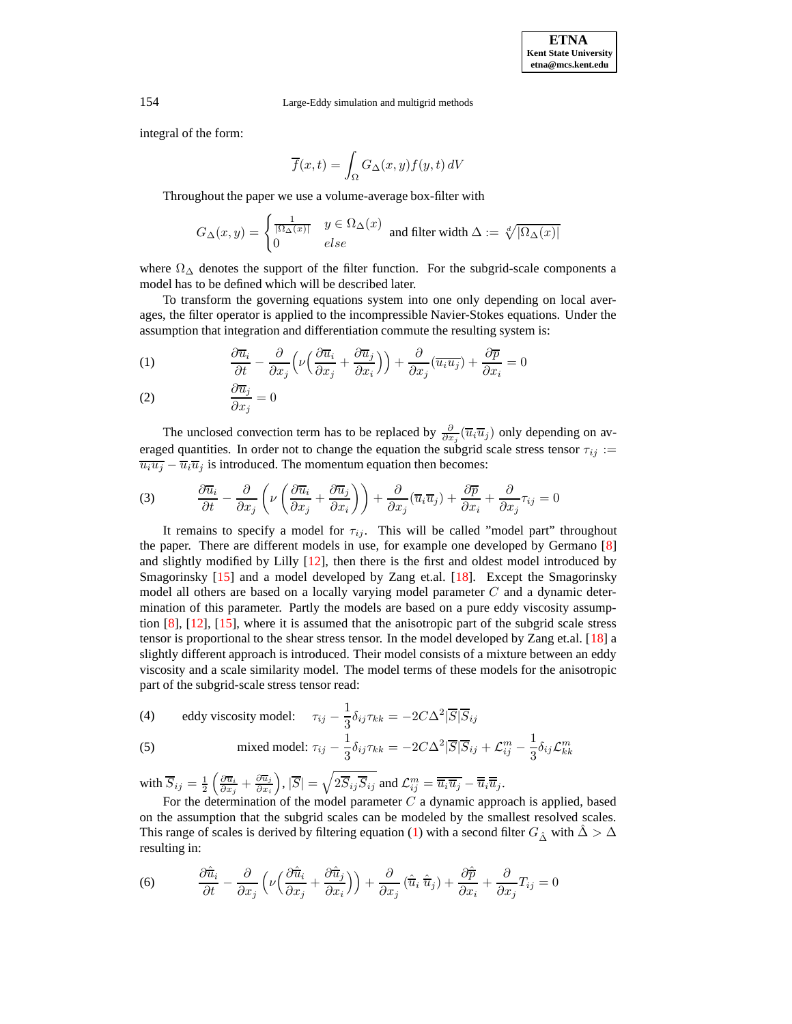154 Large-Eddy simulation and multigrid methods

integral of the form:

$$
\overline{f}(x,t) = \int_{\Omega} G_{\Delta}(x,y) f(y,t) dV
$$

Throughout the paper we use a volume-average box-filter with

$$
G_{\Delta}(x,y)=\begin{cases} \frac{1}{|\Omega_\Delta(x)|} & y\in \Omega_\Delta(x)\\ 0 & else \end{cases}\text{ and filter width }\Delta:=\sqrt[d]{|\Omega_\Delta(x)|}
$$

where  $\Omega_{\Delta}$  denotes the support of the filter function. For the subgrid-scale components a model has to be defined which will be described later.

To transform the governing equations system into one only depending on local averages, the filter operator is applied to the incompressible Navier-Stokes equations. Under the assumption that integration and differentiation commute the resulting system is:

<span id="page-2-0"></span>(1) 
$$
\frac{\partial \overline{u}_i}{\partial t} - \frac{\partial}{\partial x_j} \left( \nu \left( \frac{\partial \overline{u}_i}{\partial x_j} + \frac{\partial \overline{u}_j}{\partial x_i} \right) \right) + \frac{\partial}{\partial x_j} (\overline{u_i u_j}) + \frac{\partial \overline{p}}{\partial x_i} = 0
$$

$$
\frac{\partial \overline{u}_j}{\partial x_j} = 0
$$

<span id="page-2-1"></span>The unclosed convection term has to be replaced by  $\frac{\partial}{\partial x_j}(\overline{u}_i\overline{u}_j)$  only depending on averaged quantities. In order not to change the equation the subgrid scale stress tensor  $\tau_{ij}$  :=  $\overline{u_i u_j} - \overline{u}_i \overline{u}_j$  is introduced. The momentum equation then becomes:

(3) 
$$
\frac{\partial \overline{u}_i}{\partial t} - \frac{\partial}{\partial x_j} \left( \nu \left( \frac{\partial \overline{u}_i}{\partial x_j} + \frac{\partial \overline{u}_j}{\partial x_i} \right) \right) + \frac{\partial}{\partial x_j} (\overline{u}_i \overline{u}_j) + \frac{\partial \overline{p}}{\partial x_i} + \frac{\partial}{\partial x_j} \tau_{ij} = 0
$$

It remains to specify a model for  $\tau_{ij}$ . This will be called "model part" throughout the paper. There are different models in use, for example one developed by Germano [\[8\]](#page-11-1) and slightly modified by Lilly  $[12]$ , then there is the first and oldest model introduced by Smagorinsky [\[15\]](#page-12-2) and a model developed by Zang et.al. [\[18\]](#page-12-3). Except the Smagorinsky model all others are based on a locally varying model parameter  $C$  and a dynamic determination of this parameter. Partly the models are based on a pure eddy viscosity assumption [\[8\]](#page-11-1), [\[12\]](#page-12-1), [\[15\]](#page-12-2), where it is assumed that the anisotropic part of the subgrid scale stress tensor is proportional to the shear stress tensor. In the model developed by Zang et.al. [\[18\]](#page-12-3) a slightly different approach is introduced. Their model consists of a mixture between an eddy viscosity and a scale similarity model. The model terms of these models for the anisotropic part of the subgrid-scale stress tensor read:

<span id="page-2-4"></span><span id="page-2-3"></span>(4) eddy viscosity model: 
$$
\tau_{ij} - \frac{1}{3} \delta_{ij} \tau_{kk} = -2C\Delta^2 |\overline{S}|\overline{S}_{ij}
$$

(5) mixed model: 
$$
\tau_{ij} - \frac{1}{3} \delta_{ij} \tau_{kk} = -2C\Delta^2 |\overline{S}|\overline{S}_{ij} + \mathcal{L}_{ij}^m - \frac{1}{3} \delta_{ij} \mathcal{L}_{kk}^m
$$

with  $\overline{S}_{ij} = \frac{1}{2}$  $\left(\frac{\partial \overline{u}_i}{\partial x_j} + \frac{\partial \overline{u}_j}{\partial x_i}\right)$  $\partial x_i$  $\big), |\overline{S}|=\sqrt{2\overline{S}_{ij}\overline{S}_{ij}}$  and  $\mathcal{L}^m_{ij}=\overline{\overline{u}_i\overline{u}_j}-\overline{\overline{u}}_i\overline{\overline{u}}_j$ .

<span id="page-2-2"></span>For the determination of the model parameter  $C$  a dynamic approach is applied, based on the assumption that the subgrid scales can be modeled by the smallest resolved scales. This range of scales is derived by filtering equation [\(1\)](#page-2-0) with a second filter  $G_{\hat{\Lambda}}$  with  $\hat{\Delta} > \Delta$ resulting in:

(6) 
$$
\frac{\partial \hat{\overline{u}}_i}{\partial t} - \frac{\partial}{\partial x_j} \left( \nu \left( \frac{\partial \hat{\overline{u}}_i}{\partial x_j} + \frac{\partial \hat{\overline{u}}_j}{\partial x_i} \right) \right) + \frac{\partial}{\partial x_j} \left( \hat{\overline{u}}_i \hat{\overline{u}}_j \right) + \frac{\partial \hat{\overline{p}}}{\partial x_i} + \frac{\partial}{\partial x_j} T_{ij} = 0
$$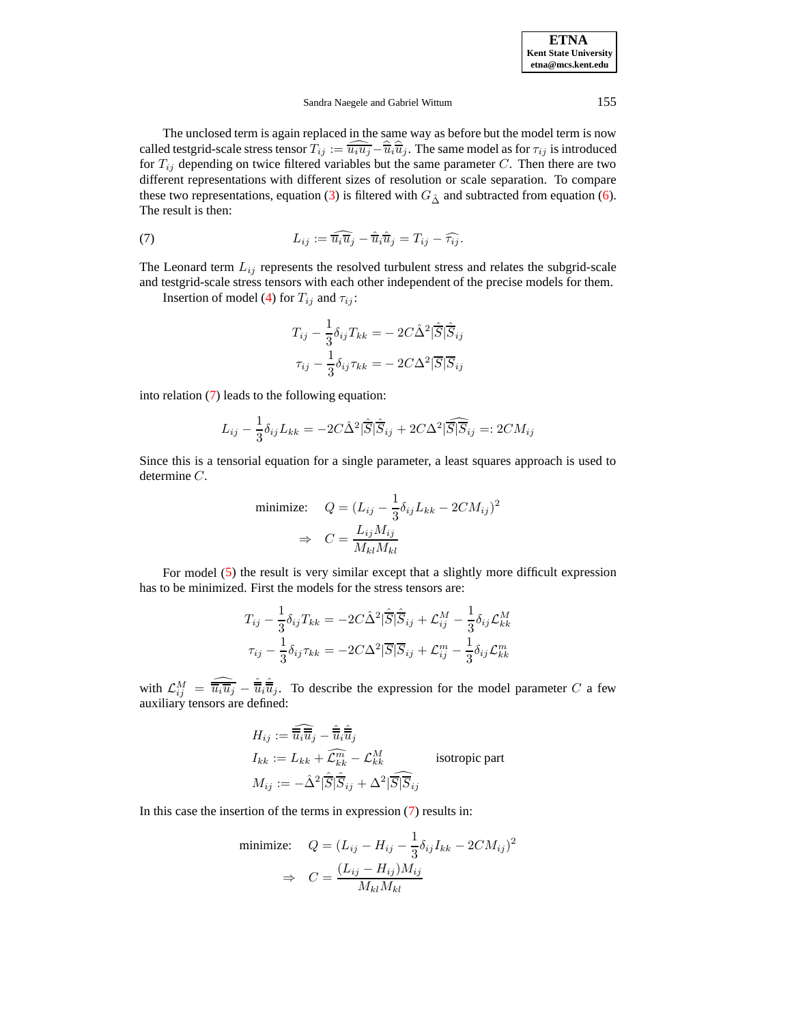The unclosed term is again replaced in the same way as before but the model term is now called testgrid-scale stress tensor  $T_{ij} := \widehat{\overline{u_i u_j}} - \widehat{\overline{u_i}} \widehat{\overline{u_j}}$ . The same model as for  $\tau_{ij}$  is introduced for  $T_{ij}$  depending on twice filtered variables but the same parameter C. Then there are two different representations with different sizes of resolution or scale separation. To compare these two representations, equation [\(3\)](#page-2-1) is filtered with  $G_{\hat{\Delta}}$  and subtracted from equation [\(6\)](#page-2-2). The result is then:

<span id="page-3-0"></span>(7) 
$$
L_{ij} := \widehat{u_i u_j} - \widehat{u}_i \widehat{u}_j = T_{ij} - \widehat{\tau}_{ij}.
$$

The Leonard term  $L_{ij}$  represents the resolved turbulent stress and relates the subgrid-scale and testgrid-scale stress tensors with each other independent of the precise models for them.

Insertion of model [\(4\)](#page-2-3) for  $T_{ij}$  and  $\tau_{ij}$ :

$$
T_{ij} - \frac{1}{3} \delta_{ij} T_{kk} = -2C\hat{\Delta}^2 |\hat{\overline{S}}| \hat{\overline{S}}_{ij}
$$

$$
\tau_{ij} - \frac{1}{3} \delta_{ij} \tau_{kk} = -2C\Delta^2 |\overline{S}| \overline{S}_{ij}
$$

into relation [\(7\)](#page-3-0) leads to the following equation:

$$
L_{ij} - \frac{1}{3}\delta_{ij}L_{kk} = -2C\hat{\Delta}^{2}|\hat{\overline{S}}|\hat{\overline{S}}_{ij} + 2C\Delta^{2}|\widehat{\overline{S}}|\overline{\overline{S}}_{ij} =: 2CM_{ij}
$$

Since this is a tensorial equation for a single parameter, a least squares approach is used to determine C.

minimize: 
$$
Q = (L_{ij} - \frac{1}{3}\delta_{ij}L_{kk} - 2CM_{ij})^2
$$
  
\n $\Rightarrow C = \frac{L_{ij}M_{ij}}{M_{kl}M_{kl}}$ 

For model [\(5\)](#page-2-4) the result is very similar except that a slightly more difficult expression has to be minimized. First the models for the stress tensors are:

$$
T_{ij} - \frac{1}{3} \delta_{ij} T_{kk} = -2C\hat{\Delta}^2 |\hat{\overline{S}}| \hat{\overline{S}}_{ij} + \mathcal{L}_{ij}^M - \frac{1}{3} \delta_{ij} \mathcal{L}_{kk}^M
$$

$$
\tau_{ij} - \frac{1}{3} \delta_{ij} \tau_{kk} = -2C\Delta^2 |\overline{S}| \overline{S}_{ij} + \mathcal{L}_{ij}^m - \frac{1}{3} \delta_{ij} \mathcal{L}_{kk}^m
$$

with  $\mathcal{L}_{ij}^M = \widehat{\overline{u_i u_j}} - \widehat{\overline{u}}_i \widehat{\overline{u}}_j$ . To describe the expression for the model parameter C a few auxiliary tensors are defined:

$$
H_{ij} := \widehat{\overline{\overline{u_i}}\overline{\overline{u}}_j} - \widehat{\overline{\overline{u}}_i}\overline{\overline{\overline{u}}_j}
$$
  
\n
$$
I_{kk} := L_{kk} + \widehat{\mathcal{L}}_{kk}^{\widehat{m}} - \mathcal{L}_{kk}^M \qquad \text{isotropic part}
$$
  
\n
$$
M_{ij} := -\widehat{\Delta}^2 |\widehat{\overline{S}}|\widehat{\overline{S}}_{ij} + \Delta^2 |\widehat{\overline{S}}|\widehat{\overline{S}}_{ij}
$$

In this case the insertion of the terms in expression [\(7\)](#page-3-0) results in:

minimize: 
$$
Q = (L_{ij} - H_{ij} - \frac{1}{3}\delta_{ij}I_{kk} - 2CM_{ij})^2
$$
  
\n $\Rightarrow C = \frac{(L_{ij} - H_{ij})M_{ij}}{M_{kl}M_{kl}}$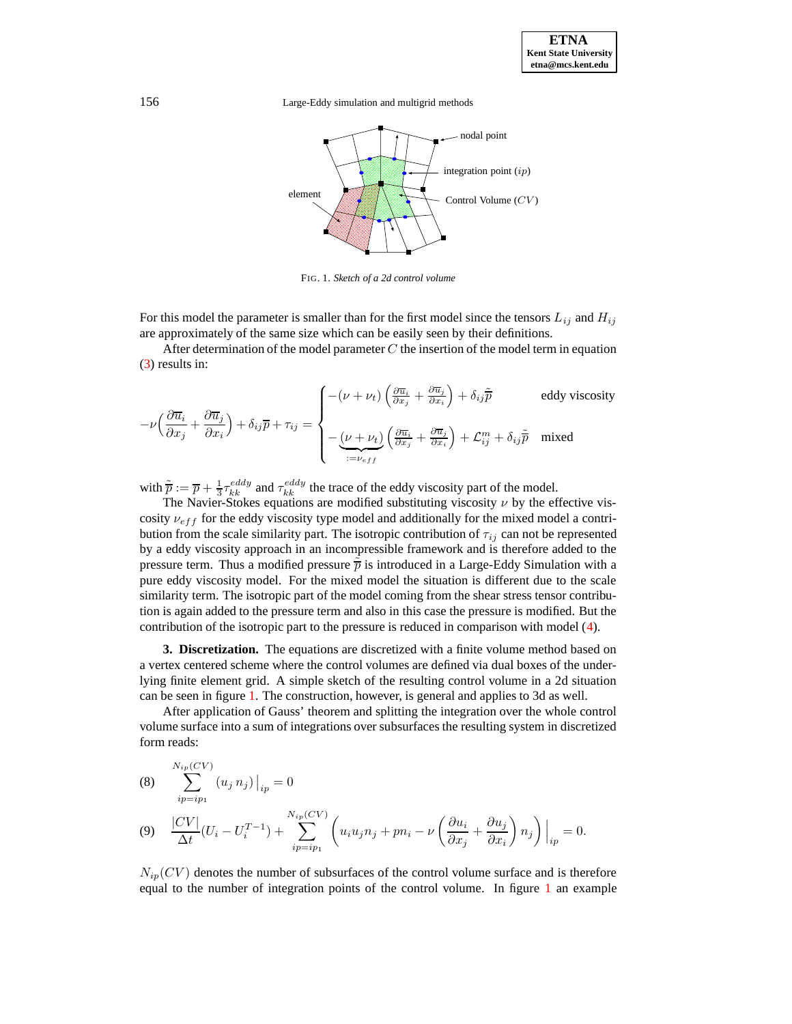



<span id="page-4-0"></span>FIG. 1. *Sketch of a 2d control volume*

For this model the parameter is smaller than for the first model since the tensors  $L_{ij}$  and  $H_{ij}$ are approximately of the same size which can be easily seen by their definitions.

After determination of the model parameter  $C$  the insertion of the model term in equation [\(3\)](#page-2-1) results in:

$$
-\nu \Big( \frac{\partial \overline{u}_i}{\partial x_j} + \frac{\partial \overline{u}_j}{\partial x_i} \Big) + \delta_{ij} \overline{p} + \tau_{ij} = \begin{cases} -(\nu + \nu_t) \left( \frac{\partial \overline{u}_i}{\partial x_j} + \frac{\partial \overline{u}_j}{\partial x_i} \right) + \delta_{ij} \widetilde{p} & \text{eddy viscosity} \\ -\underbrace{(\nu + \nu_t)}_{:=\nu_{eff}} \left( \frac{\partial \overline{u}_i}{\partial x_j} + \frac{\partial \overline{u}_j}{\partial x_i} \right) + \mathcal{L}_{ij}^m + \delta_{ij} \widetilde{p} & \text{mixed} \end{cases}
$$

with  $\tilde{\overline{p}} := \overline{p} + \frac{1}{3} \tau_{kk}^{eddy}$  and  $\tau_{kk}^{eddy}$  the trace of the eddy viscosity part of the model.

The Navier-Stokes equations are modified substituting viscosity  $\nu$  by the effective viscosity  $\nu_{eff}$  for the eddy viscosity type model and additionally for the mixed model a contribution from the scale similarity part. The isotropic contribution of  $\tau_{ij}$  can not be represented by a eddy viscosity approach in an incompressible framework and is therefore added to the pressure term. Thus a modified pressure  $\bar{p}$  is introduced in a Large-Eddy Simulation with a pure eddy viscosity model. For the mixed model the situation is different due to the scale similarity term. The isotropic part of the model coming from the shear stress tensor contribution is again added to the pressure term and also in this case the pressure is modified. But the contribution of the isotropic part to the pressure is reduced in comparison with model [\(4\)](#page-2-3).

<span id="page-4-1"></span>**3. Discretization.** The equations are discretized with a finite volume method based on a vertex centered scheme where the control volumes are defined via dual boxes of the underlying finite element grid. A simple sketch of the resulting control volume in a 2d situation can be seen in figure [1.](#page-4-0) The construction, however, is general and applies to 3d as well.

After application of Gauss' theorem and splitting the integration over the whole control volume surface into a sum of integrations over subsurfaces the resulting system in discretized form reads:

(8) 
$$
\sum_{ip=ip_1}^{N_{ip}(CV)} (u_j n_j)|_{ip} = 0
$$
  
(9) 
$$
\frac{|CV|}{\Delta t} (U_i - U_i^{T-1}) + \sum_{ip=ip_1}^{N_{ip}(CV)} \left( u_i u_j n_j + p n_i - \nu \left( \frac{\partial u_i}{\partial x_j} + \frac{\partial u_j}{\partial x_i} \right) n_j \right) \Big|_{ip} = 0.
$$

 $N_{in}(CV)$  denotes the number of subsurfaces of the control volume surface and is therefore equal to the number of integration points of the control volume. In figure [1](#page-4-0) an example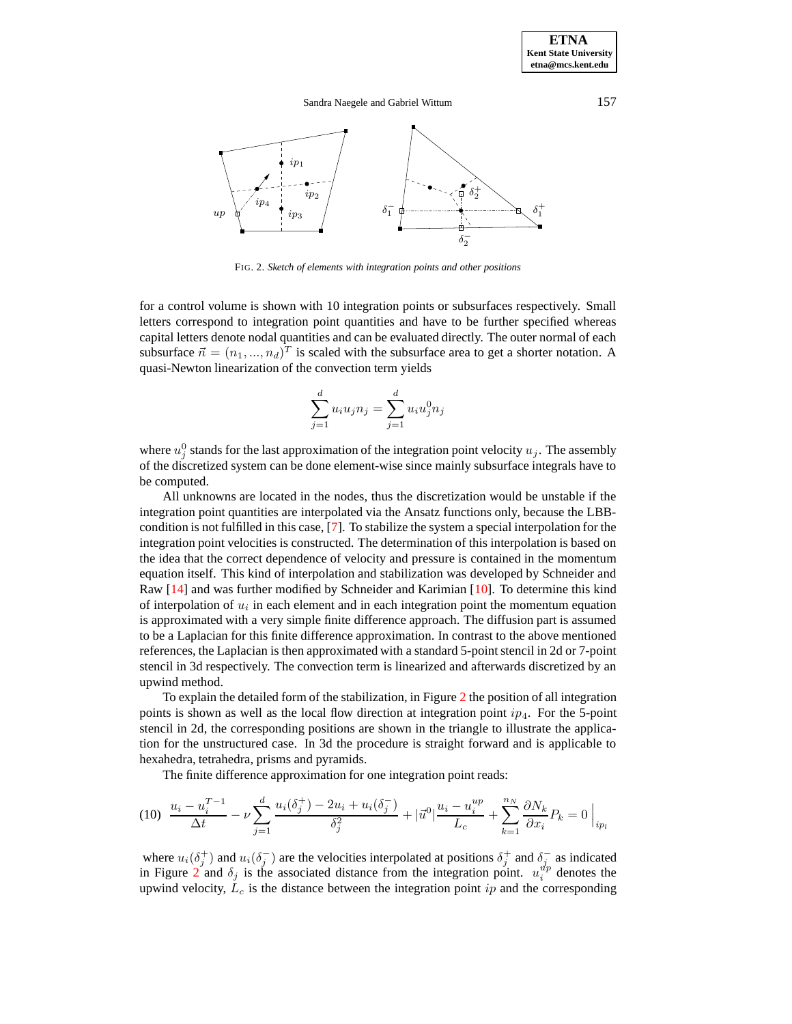



FIG. 2. *Sketch of elements with integration points and other positions*

<span id="page-5-0"></span>for a control volume is shown with 10 integration points or subsurfaces respectively. Small letters correspond to integration point quantities and have to be further specified whereas capital letters denote nodal quantities and can be evaluated directly. The outer normal of each subsurface  $\vec{n} = (n_1, ..., n_d)^T$  is scaled with the subsurface area to get a shorter notation. A quasi-Newton linearization of the convection term yields

$$
\sum_{j=1}^{d} u_i u_j n_j = \sum_{j=1}^{d} u_i u_j^0 n_j
$$

where  $u_j^0$  stands for the last approximation of the integration point velocity  $u_j$ . The assembly of the discretized system can be done element-wise since mainly subsurface integrals have to be computed.

All unknowns are located in the nodes, thus the discretization would be unstable if the integration point quantities are interpolated via the Ansatz functions only, because the LBBcondition is not fulfilled in this case, [\[7\]](#page-11-2). To stabilize the system a special interpolation for the integration point velocities is constructed. The determination of this interpolation is based on the idea that the correct dependence of velocity and pressure is contained in the momentum equation itself. This kind of interpolation and stabilization was developed by Schneider and Raw [\[14\]](#page-12-4) and was further modified by Schneider and Karimian [\[10\]](#page-11-3). To determine this kind of interpolation of  $u_i$  in each element and in each integration point the momentum equation is approximated with a very simple finite difference approach. The diffusion part is assumed to be a Laplacian for this finite difference approximation. In contrast to the above mentioned references, the Laplacian is then approximated with a standard 5-point stencil in 2d or 7-point stencil in 3d respectively. The convection term is linearized and afterwards discretized by an upwind method.

To explain the detailed form of the stabilization, in Figure [2](#page-5-0) the position of all integration points is shown as well as the local flow direction at integration point  $ip_4$ . For the 5-point stencil in 2d, the corresponding positions are shown in the triangle to illustrate the application for the unstructured case. In 3d the procedure is straight forward and is applicable to hexahedra, tetrahedra, prisms and pyramids.

The finite difference approximation for one integration point reads:

$$
(10)\ \frac{u_i - u_i^{T-1}}{\Delta t} - \nu \sum_{j=1}^d \frac{u_i(\delta_j^+) - 2u_i + u_i(\delta_j^-)}{\delta_j^2} + |\vec{u}^0| \frac{u_i - u_i^{up}}{L_c} + \sum_{k=1}^{n_N} \frac{\partial N_k}{\partial x_i} P_k = 0 \Big|_{ip_l}
$$

where  $u_i(\delta_j^+)$  and  $u_i(\delta_j^-)$  are the velocities interpolated at positions  $\delta_j^+$  and  $\delta_j^-$  as indicated in Figure [2](#page-5-0) and  $\delta_j$  is the associated distance from the integration point.  $u_i^{\psi p}$  denotes the upwind velocity,  $L_c$  is the distance between the integration point ip and the corresponding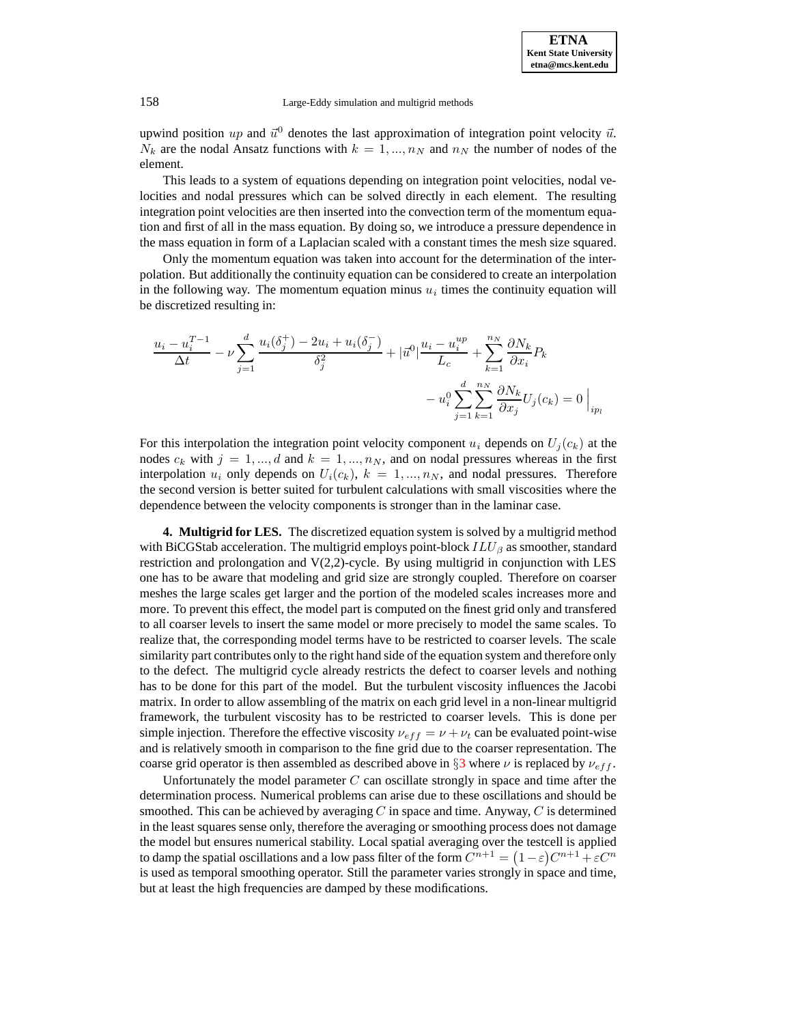**ETNA Kent State University etna@mcs.kent.edu**

158 Large-Eddy simulation and multigrid methods

upwind position up and  $\vec{u}^0$  denotes the last approximation of integration point velocity  $\vec{u}$ .  $N_k$  are the nodal Ansatz functions with  $k = 1, ..., n_N$  and  $n_N$  the number of nodes of the element.

This leads to a system of equations depending on integration point velocities, nodal velocities and nodal pressures which can be solved directly in each element. The resulting integration point velocities are then inserted into the convection term of the momentum equation and first of all in the mass equation. By doing so, we introduce a pressure dependence in the mass equation in form of a Laplacian scaled with a constant times the mesh size squared.

Only the momentum equation was taken into account for the determination of the interpolation. But additionally the continuity equation can be considered to create an interpolation in the following way. The momentum equation minus  $u_i$  times the continuity equation will be discretized resulting in:

$$
\frac{u_i - u_i^{T-1}}{\Delta t} - \nu \sum_{j=1}^d \frac{u_i(\delta_j^+) - 2u_i + u_i(\delta_j^-)}{\delta_j^2} + |\vec{u}^0| \frac{u_i - u_i^{up}}{L_c} + \sum_{k=1}^{n_N} \frac{\partial N_k}{\partial x_i} P_k - u_i^0 \sum_{j=1}^d \sum_{k=1}^{n_N} \frac{\partial N_k}{\partial x_j} U_j(c_k) = 0 \Big|_{ip_l}
$$

For this interpolation the integration point velocity component  $u_i$  depends on  $U_j(c_k)$  at the nodes  $c_k$  with  $j = 1, ..., d$  and  $k = 1, ..., n_N$ , and on nodal pressures whereas in the first interpolation  $u_i$  only depends on  $U_i(c_k)$ ,  $k = 1, ..., n_N$ , and nodal pressures. Therefore the second version is better suited for turbulent calculations with small viscosities where the dependence between the velocity components is stronger than in the laminar case.

**4. Multigrid for LES.** The discretized equation system is solved by a multigrid method with BiCGStab acceleration. The multigrid employs point-block  $ILU_\beta$  as smoother, standard restriction and prolongation and  $V(2,2)$ -cycle. By using multigrid in conjunction with LES one has to be aware that modeling and grid size are strongly coupled. Therefore on coarser meshes the large scales get larger and the portion of the modeled scales increases more and more. To prevent this effect, the model part is computed on the finest grid only and transfered to all coarser levels to insert the same model or more precisely to model the same scales. To realize that, the corresponding model terms have to be restricted to coarser levels. The scale similarity part contributes only to the right hand side of the equation system and therefore only to the defect. The multigrid cycle already restricts the defect to coarser levels and nothing has to be done for this part of the model. But the turbulent viscosity influences the Jacobi matrix. In order to allow assembling of the matrix on each grid level in a non-linear multigrid framework, the turbulent viscosity has to be restricted to coarser levels. This is done per simple injection. Therefore the effective viscosity  $\nu_{eff} = \nu + \nu_t$  can be evaluated point-wise and is relatively smooth in comparison to the fine grid due to the coarser representation. The coarse grid operator is then assembled as described above in  $\S3$  $\S3$  where  $\nu$  is replaced by  $\nu_{eff}$ .

Unfortunately the model parameter  $C$  can oscillate strongly in space and time after the determination process. Numerical problems can arise due to these oscillations and should be smoothed. This can be achieved by averaging  $C$  in space and time. Anyway,  $C$  is determined in the least squares sense only, therefore the averaging or smoothing process does not damage the model but ensures numerical stability. Local spatial averaging over the testcell is applied to damp the spatial oscillations and a low pass filter of the form  $C^{n+1} = (1 - \varepsilon)C^{n+1} + \varepsilon C^n$ is used as temporal smoothing operator. Still the parameter varies strongly in space and time, but at least the high frequencies are damped by these modifications.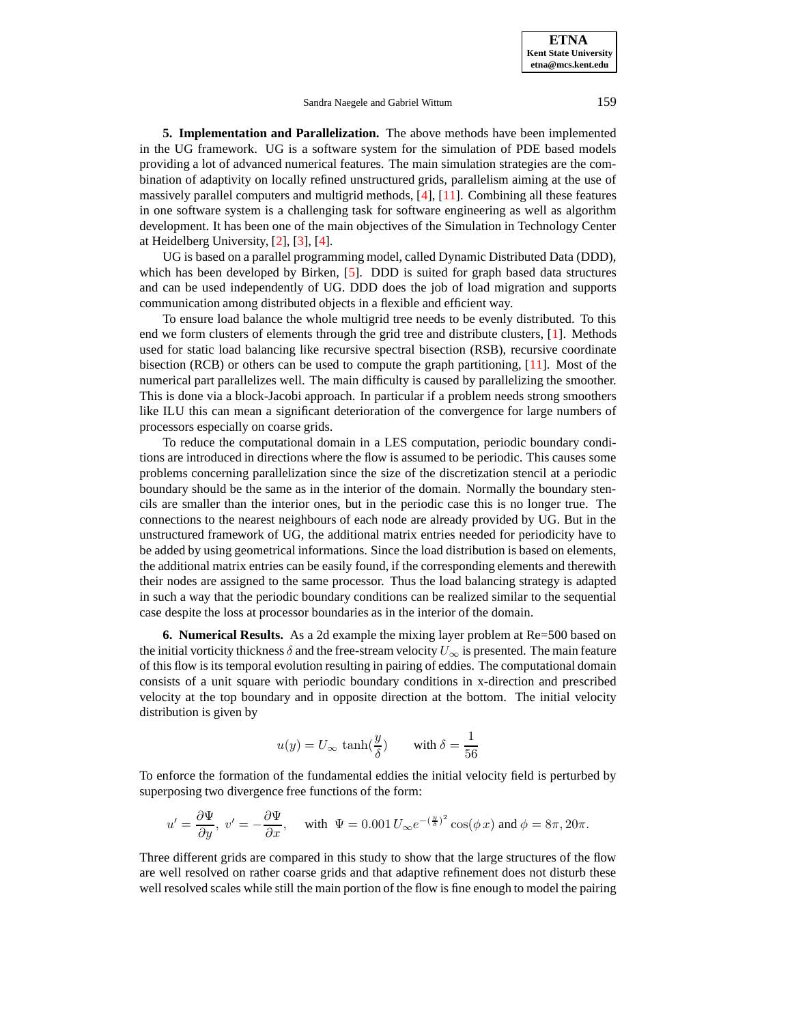**5. Implementation and Parallelization.** The above methods have been implemented in the UG framework. UG is a software system for the simulation of PDE based models providing a lot of advanced numerical features. The main simulation strategies are the combination of adaptivity on locally refined unstructured grids, parallelism aiming at the use of massively parallel computers and multigrid methods, [\[4\]](#page-11-4), [\[11\]](#page-12-5). Combining all these features in one software system is a challenging task for software engineering as well as algorithm development. It has been one of the main objectives of the Simulation in Technology Center at Heidelberg University, [\[2\]](#page-11-5), [\[3\]](#page-11-6), [\[4\]](#page-11-4).

UG is based on a parallel programming model, called Dynamic Distributed Data (DDD), which has been developed by Birken, [\[5\]](#page-11-7). DDD is suited for graph based data structures and can be used independently of UG. DDD does the job of load migration and supports communication among distributed objects in a flexible and efficient way.

To ensure load balance the whole multigrid tree needs to be evenly distributed. To this end we form clusters of elements through the grid tree and distribute clusters, [\[1\]](#page-11-8). Methods used for static load balancing like recursive spectral bisection (RSB), recursive coordinate bisection (RCB) or others can be used to compute the graph partitioning, [\[11\]](#page-12-5). Most of the numerical part parallelizes well. The main difficulty is caused by parallelizing the smoother. This is done via a block-Jacobi approach. In particular if a problem needs strong smoothers like ILU this can mean a significant deterioration of the convergence for large numbers of processors especially on coarse grids.

To reduce the computational domain in a LES computation, periodic boundary conditions are introduced in directions where the flow is assumed to be periodic. This causes some problems concerning parallelization since the size of the discretization stencil at a periodic boundary should be the same as in the interior of the domain. Normally the boundary stencils are smaller than the interior ones, but in the periodic case this is no longer true. The connections to the nearest neighbours of each node are already provided by UG. But in the unstructured framework of UG, the additional matrix entries needed for periodicity have to be added by using geometrical informations. Since the load distribution is based on elements, the additional matrix entries can be easily found, if the corresponding elements and therewith their nodes are assigned to the same processor. Thus the load balancing strategy is adapted in such a way that the periodic boundary conditions can be realized similar to the sequential case despite the loss at processor boundaries as in the interior of the domain.

**6. Numerical Results.** As a 2d example the mixing layer problem at Re=500 based on the initial vorticity thickness  $\delta$  and the free-stream velocity  $U_{\infty}$  is presented. The main feature of this flow is its temporal evolution resulting in pairing of eddies. The computational domain consists of a unit square with periodic boundary conditions in x-direction and prescribed velocity at the top boundary and in opposite direction at the bottom. The initial velocity distribution is given by

$$
u(y) = U_{\infty} \tanh(\frac{y}{\delta}) \quad \text{with } \delta = \frac{1}{56}
$$

To enforce the formation of the fundamental eddies the initial velocity field is perturbed by superposing two divergence free functions of the form:

$$
u' = \frac{\partial \Psi}{\partial y}, \ v' = -\frac{\partial \Psi}{\partial x}, \quad \text{with } \ \Psi = 0.001 \, U_{\infty} e^{-(\frac{y}{\delta})^2} \cos(\phi \, x) \text{ and } \phi = 8\pi, 20\pi.
$$

Three different grids are compared in this study to show that the large structures of the flow are well resolved on rather coarse grids and that adaptive refinement does not disturb these well resolved scales while still the main portion of the flow is fine enough to model the pairing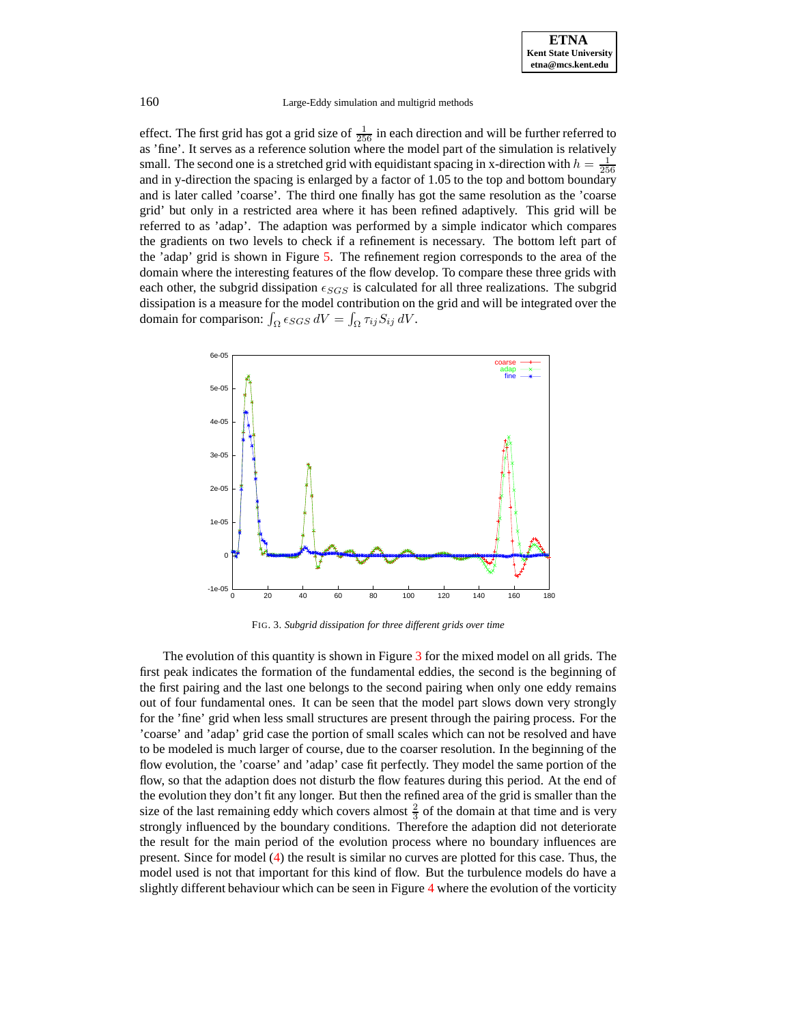#### 160 Large-Eddy simulation and multigrid methods

effect. The first grid has got a grid size of  $\frac{1}{256}$  in each direction and will be further referred to as 'fine'. It serves as a reference solution where the model part of the simulation is relatively small. The second one is a stretched grid with equidistant spacing in x-direction with  $h = \frac{1}{256}$ and in y-direction the spacing is enlarged by a factor of 1.05 to the top and bottom boundary and is later called 'coarse'. The third one finally has got the same resolution as the 'coarse grid' but only in a restricted area where it has been refined adaptively. This grid will be referred to as 'adap'. The adaption was performed by a simple indicator which compares the gradients on two levels to check if a refinement is necessary. The bottom left part of the 'adap' grid is shown in Figure [5.](#page-10-0) The refinement region corresponds to the area of the domain where the interesting features of the flow develop. To compare these three grids with each other, the subgrid dissipation  $\epsilon_{SGS}$  is calculated for all three realizations. The subgrid dissipation is a measure for the model contribution on the grid and will be integrated over the domain for comparison:  $\int_{\Omega} \epsilon_{SGS} dV = \int_{\Omega} \tau_{ij} S_{ij} dV$ .



FIG. 3. *Subgrid dissipation for three different grids over time*

<span id="page-8-0"></span>The evolution of this quantity is shown in Figure [3](#page-8-0) for the mixed model on all grids. The first peak indicates the formation of the fundamental eddies, the second is the beginning of the first pairing and the last one belongs to the second pairing when only one eddy remains out of four fundamental ones. It can be seen that the model part slows down very strongly for the 'fine' grid when less small structures are present through the pairing process. For the 'coarse' and 'adap' grid case the portion of small scales which can not be resolved and have to be modeled is much larger of course, due to the coarser resolution. In the beginning of the flow evolution, the 'coarse' and 'adap' case fit perfectly. They model the same portion of the flow, so that the adaption does not disturb the flow features during this period. At the end of the evolution they don't fit any longer. But then the refined area of the grid is smaller than the size of the last remaining eddy which covers almost  $\frac{2}{3}$  of the domain at that time and is very strongly influenced by the boundary conditions. Therefore the adaption did not deteriorate the result for the main period of the evolution process where no boundary influences are present. Since for model [\(4\)](#page-2-3) the result is similar no curves are plotted for this case. Thus, the model used is not that important for this kind of flow. But the turbulence models do have a slightly different behaviour which can be seen in Figure [4](#page-9-0) where the evolution of the vorticity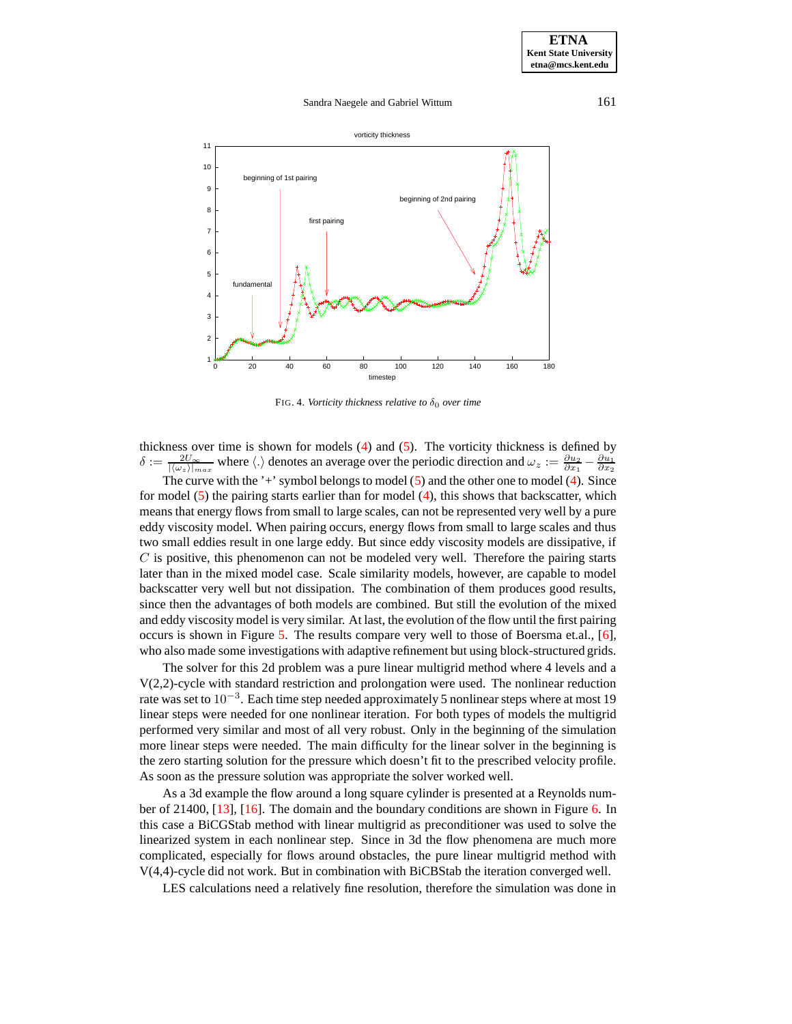

<span id="page-9-0"></span>FIG. 4. *Vorticity thickness relative to*  $\delta_0$  *over time* 

thickness over time is shown for models [\(4\)](#page-2-3) and [\(5\)](#page-2-4). The vorticity thickness is defined by  $\delta := \frac{2U_{\infty}}{|\langle \omega_z \rangle_{max}}$  where  $\langle \cdot \rangle$  denotes an average over the periodic direction and  $\omega_z := \frac{\partial u_2}{\partial x_1} - \frac{\partial u_1}{\partial x_2}$ 

The curve with the '+' symbol belongs to model [\(5\)](#page-2-4) and the other one to model [\(4\)](#page-2-3). Since for model  $(5)$  the pairing starts earlier than for model  $(4)$ , this shows that backscatter, which means that energy flows from small to large scales, can not be represented very well by a pure eddy viscosity model. When pairing occurs, energy flows from small to large scales and thus two small eddies result in one large eddy. But since eddy viscosity models are dissipative, if  $C$  is positive, this phenomenon can not be modeled very well. Therefore the pairing starts later than in the mixed model case. Scale similarity models, however, are capable to model backscatter very well but not dissipation. The combination of them produces good results, since then the advantages of both models are combined. But still the evolution of the mixed and eddy viscosity model is very similar. At last, the evolution of the flow until the first pairing occurs is shown in Figure [5.](#page-10-0) The results compare very well to those of Boersma et.al., [\[6\]](#page-11-9), who also made some investigations with adaptive refinement but using block-structured grids.

The solver for this 2d problem was a pure linear multigrid method where 4 levels and a V(2,2)-cycle with standard restriction and prolongation were used. The nonlinear reduction rate was set to  $10^{-3}$ . Each time step needed approximately 5 nonlinear steps where at most 19 linear steps were needed for one nonlinear iteration. For both types of models the multigrid performed very similar and most of all very robust. Only in the beginning of the simulation more linear steps were needed. The main difficulty for the linear solver in the beginning is the zero starting solution for the pressure which doesn't fit to the prescribed velocity profile. As soon as the pressure solution was appropriate the solver worked well.

As a 3d example the flow around a long square cylinder is presented at a Reynolds number of 21400, [\[13\]](#page-12-6), [\[16\]](#page-12-7). The domain and the boundary conditions are shown in Figure [6.](#page-11-10) In this case a BiCGStab method with linear multigrid as preconditioner was used to solve the linearized system in each nonlinear step. Since in 3d the flow phenomena are much more complicated, especially for flows around obstacles, the pure linear multigrid method with V(4,4)-cycle did not work. But in combination with BiCBStab the iteration converged well.

LES calculations need a relatively fine resolution, therefore the simulation was done in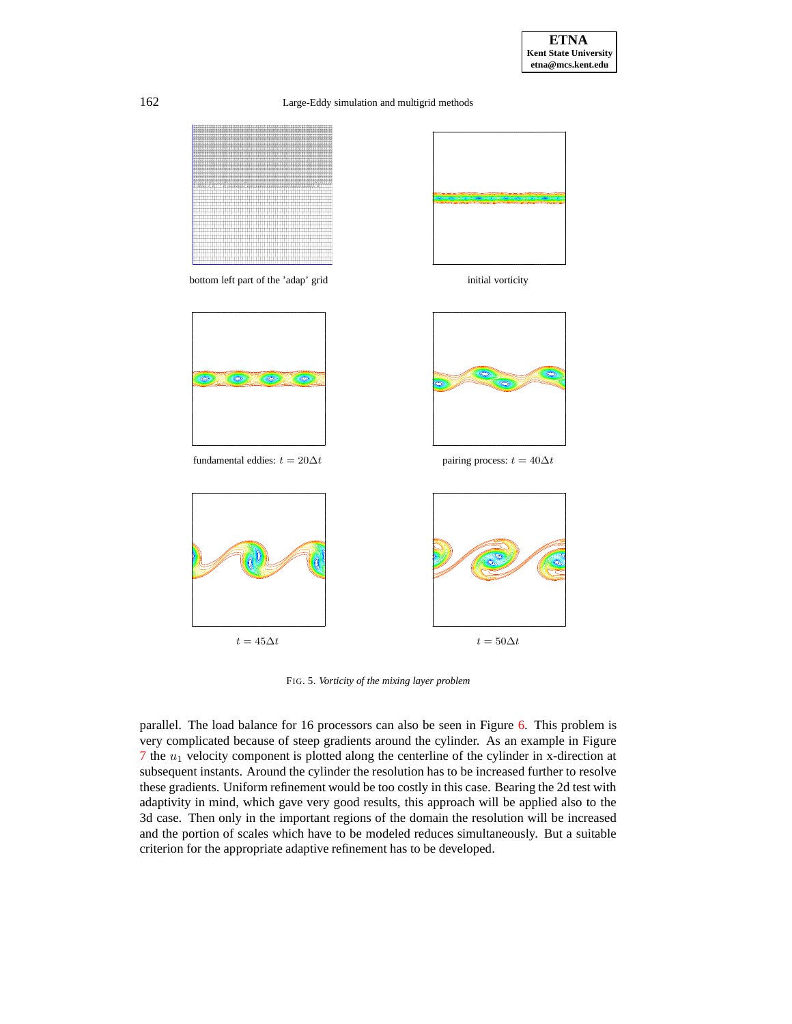162 Large-Eddy simulation and multigrid methods



<span id="page-10-0"></span>FIG. 5. *Vorticity of the mixing layer problem*

parallel. The load balance for 16 processors can also be seen in Figure [6.](#page-11-10) This problem is very complicated because of steep gradients around the cylinder. As an example in Figure  $7$  the  $u_1$  velocity component is plotted along the centerline of the cylinder in x-direction at subsequent instants. Around the cylinder the resolution has to be increased further to resolve these gradients. Uniform refinement would be too costly in this case. Bearing the 2d test with adaptivity in mind, which gave very good results, this approach will be applied also to the 3d case. Then only in the important regions of the domain the resolution will be increased and the portion of scales which have to be modeled reduces simultaneously. But a suitable criterion for the appropriate adaptive refinement has to be developed.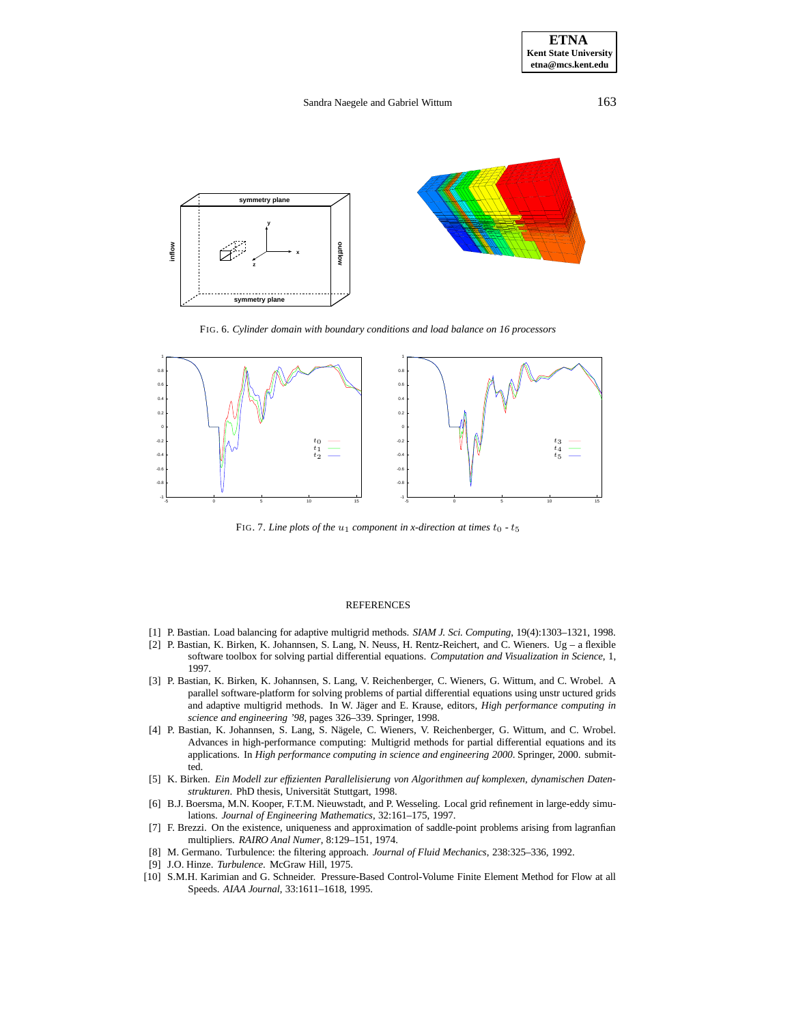

<span id="page-11-10"></span>FIG. 6. *Cylinder domain with boundary conditions and load balance on 16 processors*



<span id="page-11-11"></span>FIG. 7. *Line* plots of the  $u_1$  component in *x*-direction at times  $t_0$  -  $t_5$ 

#### REFERENCES

- <span id="page-11-8"></span><span id="page-11-5"></span>[1] P. Bastian. Load balancing for adaptive multigrid methods. *SIAM J. Sci. Computing*, 19(4):1303–1321, 1998.
- [2] P. Bastian, K. Birken, K. Johannsen, S. Lang, N. Neuss, H. Rentz-Reichert, and C. Wieners. Ug a flexible software toolbox for solving partial differential equations. *Computation and Visualization in Science*, 1, 1997.
- <span id="page-11-6"></span>[3] P. Bastian, K. Birken, K. Johannsen, S. Lang, V. Reichenberger, C. Wieners, G. Wittum, and C. Wrobel. A parallel software-platform for solving problems of partial differential equations using unstr uctured grids and adaptive multigrid methods. In W. Jäger and E. Krause, editors, *High performance computing in science and engineering '98*, pages 326–339. Springer, 1998.
- <span id="page-11-4"></span>[4] P. Bastian, K. Johannsen, S. Lang, S. Nägele, C. Wieners, V. Reichenberger, G. Wittum, and C. Wrobel. Advances in high-performance computing: Multigrid methods for partial differential equations and its applications. In *High performance computing in science and engineering 2000*. Springer, 2000. submitted.
- <span id="page-11-7"></span>[5] K. Birken. *Ein Modell zur effizienten Parallelisierung von Algorithmen auf komplexen, dynamischen Daten*strukturen. PhD thesis, Universität Stuttgart, 1998.
- <span id="page-11-9"></span>[6] B.J. Boersma, M.N. Kooper, F.T.M. Nieuwstadt, and P. Wesseling. Local grid refinement in large-eddy simulations. *Journal of Engineering Mathematics*, 32:161–175, 1997.
- <span id="page-11-2"></span>[7] F. Brezzi. On the existence, uniqueness and approximation of saddle-point problems arising from lagranfian multipliers. *RAIRO Anal Numer*, 8:129–151, 1974.
- <span id="page-11-1"></span>[8] M. Germano. Turbulence: the filtering approach. *Journal of Fluid Mechanics*, 238:325–336, 1992.
- [9] J.O. Hinze. *Turbulence*. McGraw Hill, 1975.
- <span id="page-11-3"></span><span id="page-11-0"></span>[10] S.M.H. Karimian and G. Schneider. Pressure-Based Control-Volume Finite Element Method for Flow at all Speeds. *AIAA Journal*, 33:1611–1618, 1995.